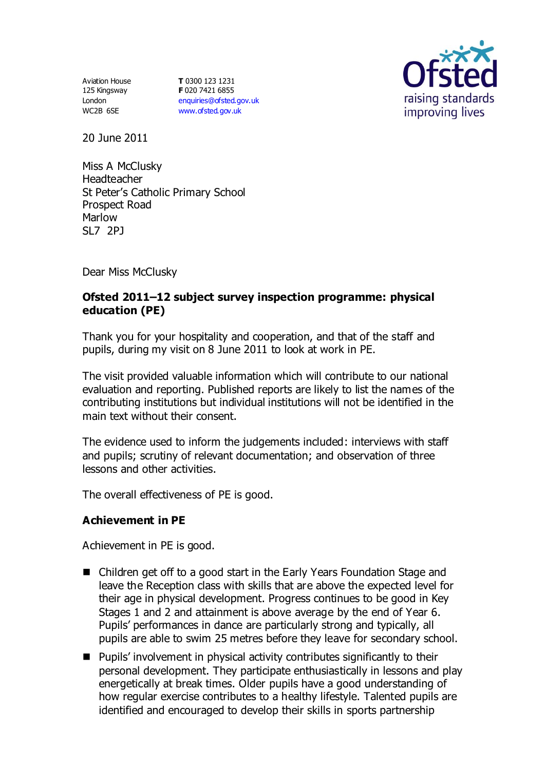Aviation House 125 Kingsway London WC2B 6SE

**T** 0300 123 1231 **F** 020 7421 6855 [enquiries@ofsted.gov.uk](mailto:enquiries@ofsted.gov.uk) [www.ofsted.gov.uk](http://www.ofsted.gov.uk/)



20 June 2011

Miss A McClusky Headteacher St Peter's Catholic Primary School Prospect Road Marlow SL7 2PJ

Dear Miss McClusky

### **Ofsted 2011–12 subject survey inspection programme: physical education (PE)**

Thank you for your hospitality and cooperation, and that of the staff and pupils, during my visit on 8 June 2011 to look at work in PE.

The visit provided valuable information which will contribute to our national evaluation and reporting. Published reports are likely to list the names of the contributing institutions but individual institutions will not be identified in the main text without their consent.

The evidence used to inform the judgements included: interviews with staff and pupils; scrutiny of relevant documentation; and observation of three lessons and other activities.

The overall effectiveness of PE is good.

### **Achievement in PE**

Achievement in PE is good.

- Children get off to a good start in the Early Years Foundation Stage and leave the Reception class with skills that are above the expected level for their age in physical development. Progress continues to be good in Key Stages 1 and 2 and attainment is above average by the end of Year 6. Pupils' performances in dance are particularly strong and typically, all pupils are able to swim 25 metres before they leave for secondary school.
- Pupils' involvement in physical activity contributes significantly to their personal development. They participate enthusiastically in lessons and play energetically at break times. Older pupils have a good understanding of how regular exercise contributes to a healthy lifestyle. Talented pupils are identified and encouraged to develop their skills in sports partnership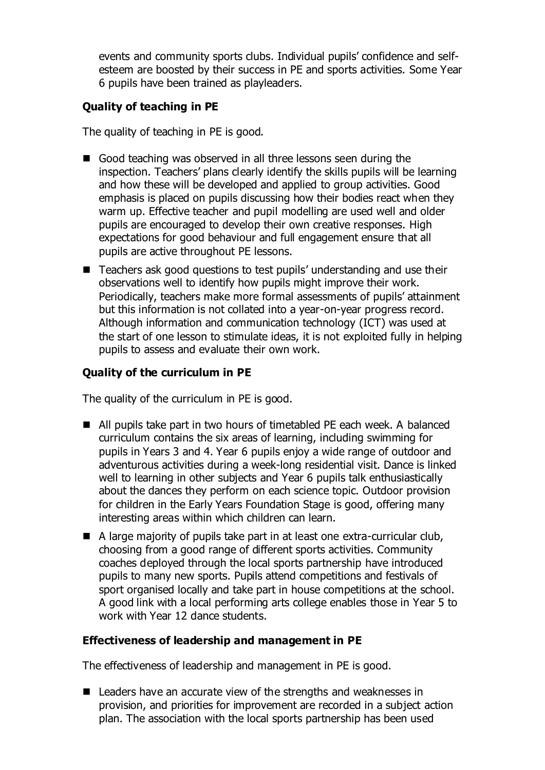events and community sports clubs. Individual pupils' confidence and selfesteem are boosted by their success in PE and sports activities. Some Year 6 pupils have been trained as playleaders.

# **Quality of teaching in PE**

The quality of teaching in PE is good.

- Good teaching was observed in all three lessons seen during the inspection. Teachers' plans clearly identify the skills pupils will be learning and how these will be developed and applied to group activities. Good emphasis is placed on pupils discussing how their bodies react when they warm up. Effective teacher and pupil modelling are used well and older pupils are encouraged to develop their own creative responses. High expectations for good behaviour and full engagement ensure that all pupils are active throughout PE lessons.
- Teachers ask good questions to test pupils' understanding and use their observations well to identify how pupils might improve their work. Periodically, teachers make more formal assessments of pupils' attainment but this information is not collated into a year-on-year progress record. Although information and communication technology (ICT) was used at the start of one lesson to stimulate ideas, it is not exploited fully in helping pupils to assess and evaluate their own work.

# **Quality of the curriculum in PE**

The quality of the curriculum in PE is good.

- All pupils take part in two hours of timetabled PE each week. A balanced curriculum contains the six areas of learning, including swimming for pupils in Years 3 and 4. Year 6 pupils enjoy a wide range of outdoor and adventurous activities during a week-long residential visit. Dance is linked well to learning in other subjects and Year 6 pupils talk enthusiastically about the dances they perform on each science topic. Outdoor provision for children in the Early Years Foundation Stage is good, offering many interesting areas within which children can learn.
- A large majority of pupils take part in at least one extra-curricular club, choosing from a good range of different sports activities. Community coaches deployed through the local sports partnership have introduced pupils to many new sports. Pupils attend competitions and festivals of sport organised locally and take part in house competitions at the school. A good link with a local performing arts college enables those in Year 5 to work with Year 12 dance students.

# **Effectiveness of leadership and management in PE**

The effectiveness of leadership and management in PE is good.

■ Leaders have an accurate view of the strengths and weaknesses in provision, and priorities for improvement are recorded in a subject action plan. The association with the local sports partnership has been used